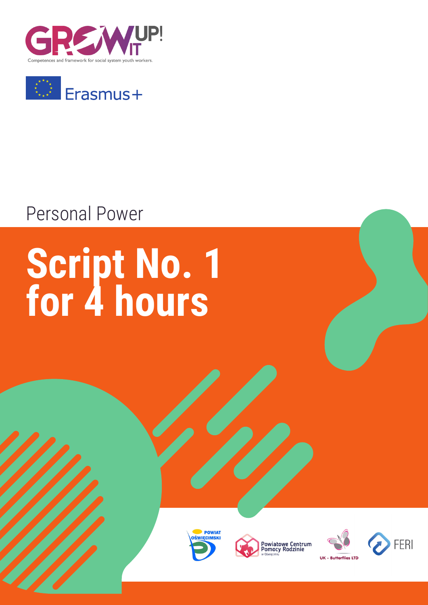



## Personal Power

# **Script No. 1 for 4 hours**







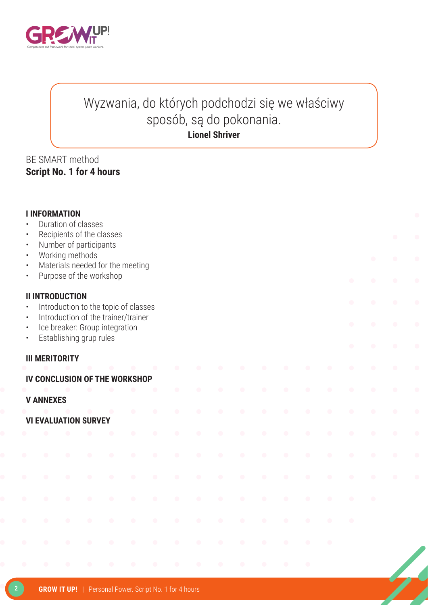

#### Wyzwania, do których podchodzi się we właściwy sposób, są do pokonania. **Lionel Shriver**

#### BE SMART method **Script No. 1 for 4 hours**

| <b>I INFORMATION</b><br>Duration of classes<br>$\bullet$<br>Recipients of the classes<br>$\bullet$<br>Number of participants<br>$\bullet$<br>Working methods<br>$\bullet$<br>$\bullet$<br>Materials needed for the meeting<br>$\bullet$<br>Purpose of the workshop<br>$\bullet$<br>$\bullet$<br>$\bullet$ |                               |           |                         |                                                                                                               |           |           |           |           |           |            |            |           |                                                   | $\bullet$<br>$\bullet$<br>$\bullet$ | $\bullet$<br>$\bullet$<br>$\bullet$<br>$\bullet$ |                        |                        |                        |
|-----------------------------------------------------------------------------------------------------------------------------------------------------------------------------------------------------------------------------------------------------------------------------------------------------------|-------------------------------|-----------|-------------------------|---------------------------------------------------------------------------------------------------------------|-----------|-----------|-----------|-----------|-----------|------------|------------|-----------|---------------------------------------------------|-------------------------------------|--------------------------------------------------|------------------------|------------------------|------------------------|
| $\bullet$<br>$\bullet$<br>$\bullet$<br>$\bullet$                                                                                                                                                                                                                                                          | <b>II INTRODUCTION</b>        |           | Establishing grup rules | Introduction to the topic of classes<br>Introduction of the trainer/trainer<br>Ice breaker: Group integration |           |           |           |           |           |            |            |           |                                                   |                                     | $\bullet$<br>$\bullet$                           | $\bullet$<br>$\bullet$ | $\bullet$<br>$\bullet$ | $\bullet$<br>$\bullet$ |
|                                                                                                                                                                                                                                                                                                           | <b>III MERITORITY</b>         |           |                         |                                                                                                               |           |           |           |           |           |            |            |           |                                                   |                                     | $\bullet$                                        | $\bullet$              | $\bullet$<br>$\bullet$ | $\bullet$<br>$\bullet$ |
|                                                                                                                                                                                                                                                                                                           | IV CONCLUSION OF THE WORKSHOP |           |                         |                                                                                                               |           |           |           |           |           |            |            |           |                                                   |                                     |                                                  |                        |                        |                        |
|                                                                                                                                                                                                                                                                                                           | <b>V ANNEXES</b>              |           |                         | $\bullet$                                                                                                     | $\bullet$ | ۸         |           |           |           |            |            |           |                                                   |                                     |                                                  |                        | $\bullet$              | $\bullet$              |
|                                                                                                                                                                                                                                                                                                           | <b>VI EVALUATION SURVEY</b>   |           |                         |                                                                                                               | $\bullet$ | $\bullet$ | $\bullet$ | $\bullet$ | $\bullet$ | $\bullet$  | $\bullet$  | $\bullet$ | $\begin{array}{c} \bullet \\ \bullet \end{array}$ | $\bullet$                           | $\bullet$                                        | $\bullet$              | $\bullet$              | $\bullet$              |
|                                                                                                                                                                                                                                                                                                           |                               |           |                         |                                                                                                               | $\bullet$ | $\bullet$ | $\bullet$ | $\bullet$ | $\bullet$ | $\bullet$  | $\bullet$  | $\bullet$ | $\bullet$                                         | $\bullet$                           | $\bullet$                                        | $\bullet$              | $\bullet$              | $\bullet$              |
|                                                                                                                                                                                                                                                                                                           | $\bullet$                     | $\bullet$ | $\bullet$               | $\bullet$                                                                                                     | $\bullet$ | $\bullet$ | $\bullet$ | $\bullet$ | $\bullet$ | $\bullet$  | $\bullet$  | $\bullet$ | $\bullet$                                         | $\bullet$                           | $\bullet$                                        | $\bullet$              | $\bullet$              | $\bullet$              |
|                                                                                                                                                                                                                                                                                                           | $\hat{\phantom{a}}$           | $\bullet$ | $\bullet$               | $\bullet$                                                                                                     | $\bullet$ | $\bullet$ | $\bullet$ |           |           |            |            | $\bullet$ | $\bullet$                                         | $\bullet$                           |                                                  |                        |                        |                        |
|                                                                                                                                                                                                                                                                                                           | $\bullet$                     | $\bullet$ | $\bullet$               | $\bullet$                                                                                                     | $\bullet$ | $\bullet$ | $\bullet$ |           |           |            |            | $\bullet$ | $\bullet$                                         | $\bullet$                           | $\bullet$                                        | $\bullet$              |                        |                        |
|                                                                                                                                                                                                                                                                                                           | $\bullet$                     | $\bullet$ | $\bullet$               | $\bullet$                                                                                                     | $\bullet$ | $\bullet$ | $\bullet$ | $\bullet$ | $\bullet$ | $\bullet$  | $\bullet$  | $\bullet$ | $\bullet$                                         | $\bullet$                           | $\bullet$                                        |                        |                        |                        |
|                                                                                                                                                                                                                                                                                                           |                               | œ         | $\bullet$               | $\bullet$                                                                                                     | $\bullet$ | O         |           |           |           |            |            |           |                                                   |                                     |                                                  |                        |                        |                        |
|                                                                                                                                                                                                                                                                                                           | $\bullet$                     | $\bullet$ | $\bullet$               | $\bullet$                                                                                                     | $\bullet$ | $\bullet$ | $\bullet$ | $\bullet$ | $\bullet$ | $\bigcirc$ | $\bigcirc$ | $\bullet$ | $\bullet$                                         |                                     |                                                  |                        |                        |                        |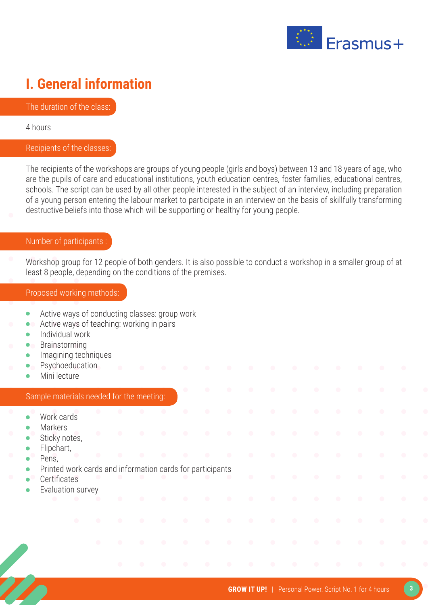

### **I. General information**

The duration of the class:

4 hours

#### Recipients of the classes:

The recipients of the workshops are groups of young people (girls and boys) between 13 and 18 years of age, who are the pupils of care and educational institutions, youth education centres, foster families, educational centres, schools. The script can be used by all other people interested in the subject of an interview, including preparation of a young person entering the labour market to participate in an interview on the basis of skillfully transforming destructive beliefs into those which will be supporting or healthy for young people.

#### Number of participants :

Workshop group for 12 people of both genders. It is also possible to conduct a workshop in a smaller group of at least 8 people, depending on the conditions of the premises.

#### Proposed working methods:

- Active ways of conducting classes: group work  $\bullet$
- Active ways of teaching: working in pairs  $\bullet$
- Individual work  $\bullet$
- Brainstorming
- Imagining techniques
- Psychoeducation
- Mini lecture

#### Sample materials needed for the meeting:

- Work cards
- Markers
- Sticky notes,
- Flipchart,
- Pens,
- Printed work cards and information cards for participants
- **Certificates**
- Evaluation survey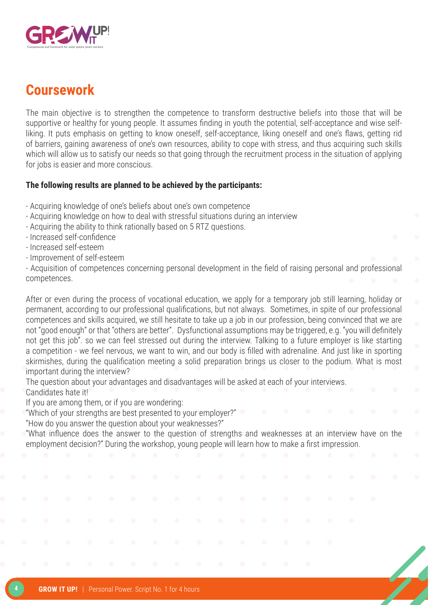

#### **Coursework**

The main objective is to strengthen the competence to transform destructive beliefs into those that will be supportive or healthy for young people. It assumes finding in youth the potential, self-acceptance and wise selfliking. It puts emphasis on getting to know oneself, self-acceptance, liking oneself and one's flaws, getting rid of barriers, gaining awareness of one's own resources, ability to cope with stress, and thus acquiring such skills which will allow us to satisfy our needs so that going through the recruitment process in the situation of applying for jobs is easier and more conscious.

#### **The following results are planned to be achieved by the participants:**

- Acquiring knowledge of one's beliefs about one's own competence
- Acquiring knowledge on how to deal with stressful situations during an interview
- Acquiring the ability to think rationally based on 5 RTZ questions.
- Increased self-confidence
- Increased self-esteem
- Improvement of self-esteem

- Acquisition of competences concerning personal development in the field of raising personal and professional competences.

After or even during the process of vocational education, we apply for a temporary job still learning, holiday or permanent, according to our professional qualifications, but not always. Sometimes, in spite of our professional competences and skills acquired, we still hesitate to take up a job in our profession, being convinced that we are not "good enough" or that "others are better". Dysfunctional assumptions may be triggered, e.g. "you will definitely not get this job". so we can feel stressed out during the interview. Talking to a future employer is like starting a competition - we feel nervous, we want to win, and our body is filled with adrenaline. And just like in sporting skirmishes, during the qualification meeting a solid preparation brings us closer to the podium. What is most important during the interview?

The question about your advantages and disadvantages will be asked at each of your interviews. Candidates hate it!

If you are among them, or if you are wondering:

"Which of your strengths are best presented to your employer?"

"How do you answer the question about your weaknesses?"

"What influence does the answer to the question of strengths and weaknesses at an interview have on the employment decision?" During the workshop, young people will learn how to make a first impression.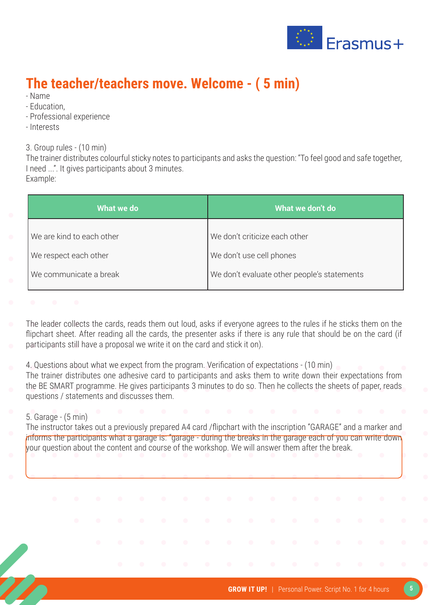

### **The teacher/teachers move. Welcome - ( 5 min)**

- Name
- Education,
- Professional experience
- Interests

3. Group rules - (10 min)

The trainer distributes colourful sticky notes to participants and asks the question: "To feel good and safe together, I need ...". It gives participants about 3 minutes. Example:

| What we do                | What we don't do                            |
|---------------------------|---------------------------------------------|
| We are kind to each other | We don't criticize each other               |
| We respect each other     | We don't use cell phones                    |
| We communicate a break    | We don't evaluate other people's statements |
|                           |                                             |

The leader collects the cards, reads them out loud, asks if everyone agrees to the rules if he sticks them on the flipchart sheet. After reading all the cards, the presenter asks if there is any rule that should be on the card (if participants still have a proposal we write it on the card and stick it on).

4. Questions about what we expect from the program. Verification of expectations - (10 min)

The trainer distributes one adhesive card to participants and asks them to write down their expectations from the BE SMART programme. He gives participants 3 minutes to do so. Then he collects the sheets of paper, reads questions / statements and discusses them.

#### 5. Garage - (5 min)

The instructor takes out a previously prepared A4 card /flipchart with the inscription "GARAGE" and a marker and informs the participants what a garage is: "garage - during the breaks in the garage each of you can write down your question about the content and course of the workshop. We will answer them after the break.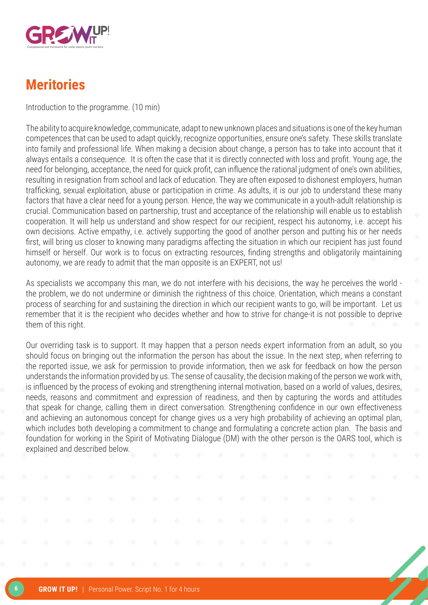

### **Meritories**

Introduction to the programme. (10 min)

The ability to acquire knowledge, communicate, adapt to new unknown places and situations is one of the key human competences that can be used to adapt quickly, recognize opportunities, ensure one's safety. These skills translate into family and professional life. When making a decision about change, a person has to take into account that it always entails a consequence. It is often the case that it is directly connected with loss and profit. Young age, the need for belonging, acceptance, the need for quick profit, can influence the rational judgment of one's own abilities, resulting in resignation from school and lack of education. They are often exposed to dishonest employers, human trafficking, sexual exploitation, abuse or participation in crime. As adults, it is our job to understand these many factors that have a clear need for a young person. Hence, the way we communicate in a youth-adult relationship is crucial. Communication based on partnership, trust and acceptance of the relationship will enable us to establish cooperation. It will help us understand and show respect for our recipient, respect his autonomy, i.e. accept his own decisions. Active empathy, i.e. actively supporting the good of another person and putting his or her needs first, will bring us closer to knowing many paradigms affecting the situation in which our recipient has just found himself or herself. Our work is to focus on extracting resources, finding strengths and obligatorily maintaining autonomy, we are ready to admit that the man opposite is an EXPERT, not us!

As specialists we accompany this man, we do not interfere with his decisions, the way he perceives the world the problem, we do not undermine or diminish the rightness of this choice. Orientation, which means a constant process of searching for and sustaining the direction in which our recipient wants to go, will be important. Let us remember that it is the recipient who decides whether and how to strive for change-it is not possible to deprive them of this right.

Our overriding task is to support. It may happen that a person needs expert information from an adult, so you should focus on bringing out the information the person has about the issue. In the next step, when referring to the reported issue, we ask for permission to provide information, then we ask for feedback on how the person understands the information provided by us. The sense of causality, the decision making of the person we work with, is influenced by the process of evoking and strengthening internal motivation, based on a world of values, desires, needs, reasons and commitment and expression of readiness, and then by capturing the words and attitudes that speak for change, calling them in direct conversation. Strengthening confidence in our own effectiveness and achieving an autonomous concept for change gives us a very high probability of achieving an optimal plan, which includes both developing a commitment to change and formulating a concrete action plan. The basis and foundation for working in the Spirit of Motivating Dialogue (DM) with the other person is the OARS tool, which is explained and described below.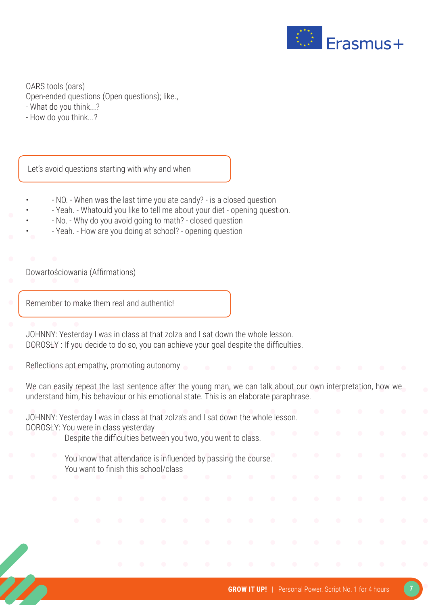

OARS tools (oars) Open-ended questions (Open questions); like., - What do you think...?

- How do you think...?

Let's avoid questions starting with why and when

- - NO. When was the last time you ate candy? is a closed question
- Yeah. Whatould you like to tell me about your diet opening question.
- - No. Why do you avoid going to math? closed question
- Yeah. How are you doing at school? opening question

Dowartościowania (Affirmations)

Ī

Remember to make them real and authentic!

- JOHNNY: Yesterday I was in class at that zolza and I sat down the whole lesson.
- DOROSŁY : If you decide to do so, you can achieve your goal despite the difficulties.
- Reflections apt empathy, promoting autonomy
- We can easily repeat the last sentence after the young man, we can talk about our own interpretation, how we understand him, his behaviour or his emotional state. This is an elaborate paraphrase.
- JOHNNY: Yesterday I was in class at that zolza's and I sat down the whole lesson. DOROSŁY: You were in class yesterday Despite the difficulties between you two, you went to class. You know that attendance is influenced by passing the course. You want to finish this school/class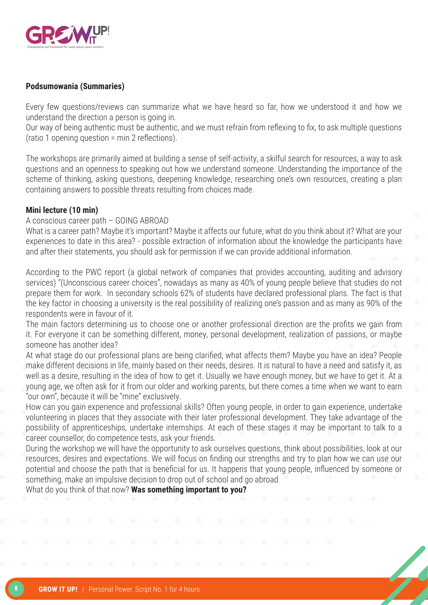

#### **Podsumowania (Summaries)**

Every few questions/reviews can summarize what we have heard so far, how we understood it and how we understand the direction a person is going in.

Our way of being authentic must be authentic, and we must refrain from reflexing to fix, to ask multiple questions (ratio 1 opening question = min 2 reflections).

The workshops are primarily aimed at building a sense of self-activity, a skilful search for resources, a way to ask questions and an openness to speaking out how we understand someone. Understanding the importance of the scheme of thinking, asking questions, deepening knowledge, researching one's own resources, creating a plan containing answers to possible threats resulting from choices made.

#### **Mini lecture (10 min)**

#### A conscious career path – GOING ABROAD

What is a career path? Maybe it's important? Maybe it affects our future, what do you think about it? What are your experiences to date in this area? - possible extraction of information about the knowledge the participants have and after their statements, you should ask for permission if we can provide additional information.

According to the PWC report (a global network of companies that provides accounting, auditing and advisory services) "(Unconscious career choices", nowadays as many as 40% of young people believe that studies do not prepare them for work. In secondary schools 62% of students have declared professional plans. The fact is that the key factor in choosing a university is the real possibility of realizing one's passion and as many as 90% of the respondents were in favour of it.

The main factors determining us to choose one or another professional direction are the profits we gain from it. For everyone it can be something different, money, personal development, realization of passions, or maybe someone has another idea?

At what stage do our professional plans are being clarified, what affects them? Maybe you have an idea? People make different decisions in life, mainly based on their needs, desires. It is natural to have a need and satisfy it, as well as a desire, resulting in the idea of how to get it. Usually we have enough money, but we have to get it. At a young age, we often ask for it from our older and working parents, but there comes a time when we want to earn "our own", because it will be "mine" exclusively.

How can you gain experience and professional skills? Often young people, in order to gain experience, undertake volunteering in places that they associate with their later professional development. They take advantage of the possibility of apprenticeships, undertake internships. At each of these stages it may be important to talk to a career counsellor, do competence tests, ask your friends.

During the workshop we will have the opportunity to ask ourselves questions, think about possibilities, look at our resources, desires and expectations. We will focus on finding our strengths and try to plan how we can use our potential and choose the path that is beneficial for us. It happens that young people, influenced by someone or something, make an impulsive decision to drop out of school and go abroad

What do you think of that now? **Was something important to you?**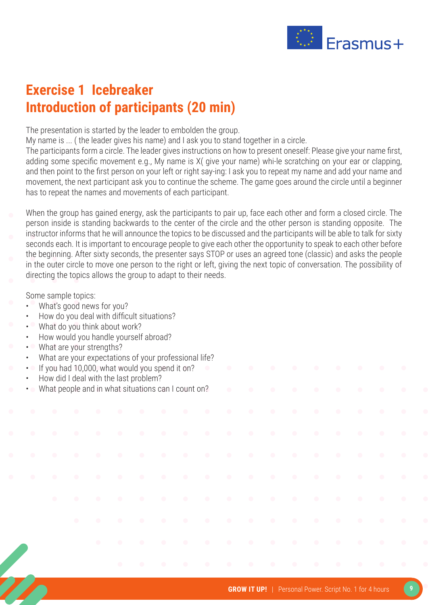

### **Exercise 1 Icebreaker Introduction of participants (20 min)**

The presentation is started by the leader to embolden the group.

My name is ... ( the leader gives his name) and I ask you to stand together in a circle.

The participants form a circle. The leader gives instructions on how to present oneself: Please give your name first, adding some specific movement e.g., My name is X( give your name) whi-le scratching on your ear or clapping, and then point to the first person on your left or right say-ing: I ask you to repeat my name and add your name and movement, the next participant ask you to continue the scheme. The game goes around the circle until a beginner has to repeat the names and movements of each participant.

When the group has gained energy, ask the participants to pair up, face each other and form a closed circle. The person inside is standing backwards to the center of the circle and the other person is standing opposite. The instructor informs that he will announce the topics to be discussed and the participants will be able to talk for sixty seconds each. It is important to encourage people to give each other the opportunity to speak to each other before the beginning. After sixty seconds, the presenter says STOP or uses an agreed tone (classic) and asks the people in the outer circle to move one person to the right or left, giving the next topic of conversation. The possibility of directing the topics allows the group to adapt to their needs.

Some sample topics:

- What's good news for you?
- How do you deal with difficult situations?
- What do you think about work?
- How would you handle yourself abroad?
- What are your strengths?
- What are your expectations of your professional life?
- If you had 10,000, what would you spend it on?
- How did I deal with the last problem?
- What people and in what situations can I count on?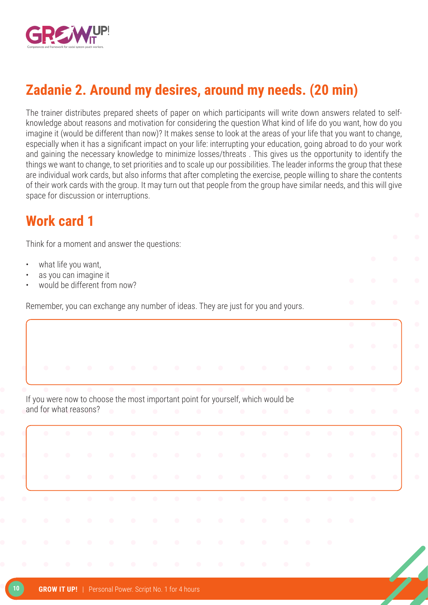

### **Zadanie 2. Around my desires, around my needs. (20 min)**

The trainer distributes prepared sheets of paper on which participants will write down answers related to selfknowledge about reasons and motivation for considering the question What kind of life do you want, how do you imagine it (would be different than now)? It makes sense to look at the areas of your life that you want to change, especially when it has a significant impact on your life: interrupting your education, going abroad to do your work and gaining the necessary knowledge to minimize losses/threats . This gives us the opportunity to identify the things we want to change, to set priorities and to scale up our possibilities. The leader informs the group that these are individual work cards, but also informs that after completing the exercise, people willing to share the contents of their work cards with the group. It may turn out that people from the group have similar needs, and this will give space for discussion or interruptions.

#### **Work card 1**

Think for a moment and answer the questions:

- what life you want,
- as you can imagine it
- would be different from now?

Remember, you can exchange any number of ideas. They are just for you and yours.

If you were now to choose the most important point for yourself, which would be and for what reasons?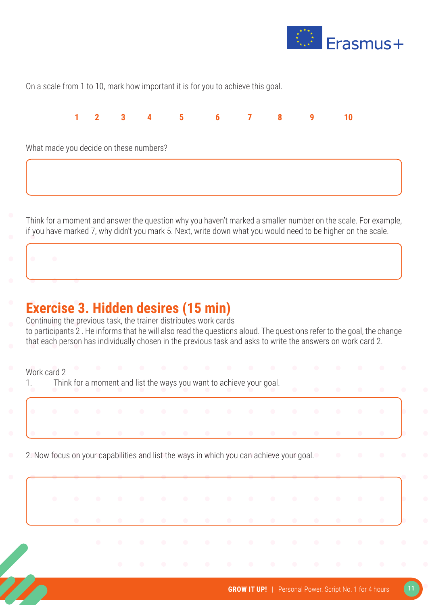

On a scale from 1 to 10, mark how important it is for you to achieve this goal.



Think for a moment and answer the question why you haven't marked a smaller number on the scale. For example, if you have marked 7, why didn't you mark 5. Next, write down what you would need to be higher on the scale.

### **Exercise 3. Hidden desires (15 min)**

Continuing the previous task, the trainer distributes work cards to participants 2 . He informs that he will also read the questions aloud. The questions refer to the goal, the change that each person has individually chosen in the previous task and asks to write the answers on work card 2.

Work card 2

1. Think for a moment and list the ways you want to achieve your goal.

2. Now focus on your capabilities and list the ways in which you can achieve your goal.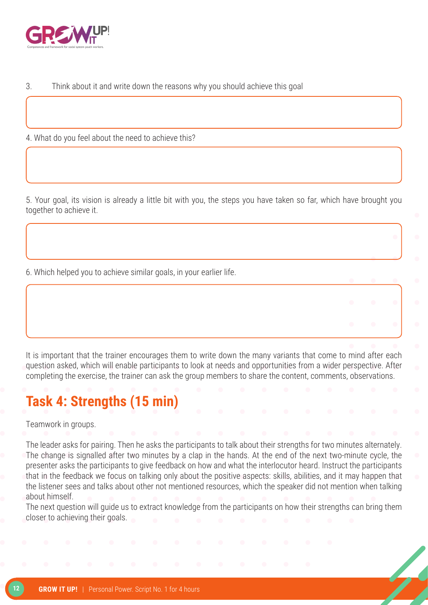

3. Think about it and write down the reasons why you should achieve this goal

4. What do you feel about the need to achieve this?

5. Your goal, its vision is already a little bit with you, the steps you have taken so far, which have brought you together to achieve it.

6. Which helped you to achieve similar goals, in your earlier life.

It is important that the trainer encourages them to write down the many variants that come to mind after each question asked, which will enable participants to look at needs and opportunities from a wider perspective. After completing the exercise, the trainer can ask the group members to share the content, comments, observations.

### **Task 4: Strengths (15 min)**

Teamwork in groups.

The leader asks for pairing. Then he asks the participants to talk about their strengths for two minutes alternately. The change is signalled after two minutes by a clap in the hands. At the end of the next two-minute cycle, the presenter asks the participants to give feedback on how and what the interlocutor heard. Instruct the participants that in the feedback we focus on talking only about the positive aspects: skills, abilities, and it may happen that the listener sees and talks about other not mentioned resources, which the speaker did not mention when talking about himself.

The next question will guide us to extract knowledge from the participants on how their strengths can bring them closer to achieving their goals.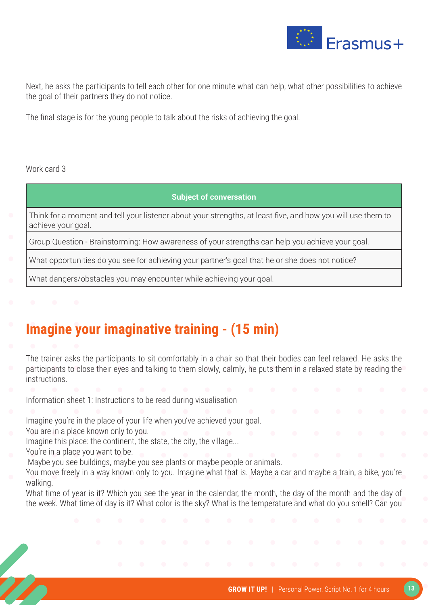

Next, he asks the participants to tell each other for one minute what can help, what other possibilities to achieve the goal of their partners they do not notice.

The final stage is for the young people to talk about the risks of achieving the goal.

#### Work card 3

#### **Subject of conversation**

Think for a moment and tell your listener about your strengths, at least five, and how you will use them to achieve your goal.

Group Question - Brainstorming: How awareness of your strengths can help you achieve your goal.

What opportunities do you see for achieving your partner's goal that he or she does not notice?

What dangers/obstacles you may encounter while achieving your goal.

### **Imagine your imaginative training - (15 min)**

The trainer asks the participants to sit comfortably in a chair so that their bodies can feel relaxed. He asks the participants to close their eyes and talking to them slowly, calmly, he puts them in a relaxed state by reading the instructions.

Information sheet 1: Instructions to be read during visualisation

Imagine you're in the place of your life when you've achieved your goal.

You are in a place known only to you.

Imagine this place: the continent, the state, the city, the village...

You're in a place you want to be.

Maybe you see buildings, maybe you see plants or maybe people or animals.

You move freely in a way known only to you. Imagine what that is. Maybe a car and maybe a train, a bike, you're walking.

What time of year is it? Which you see the year in the calendar, the month, the day of the month and the day of the week. What time of day is it? What color is the sky? What is the temperature and what do you smell? Can you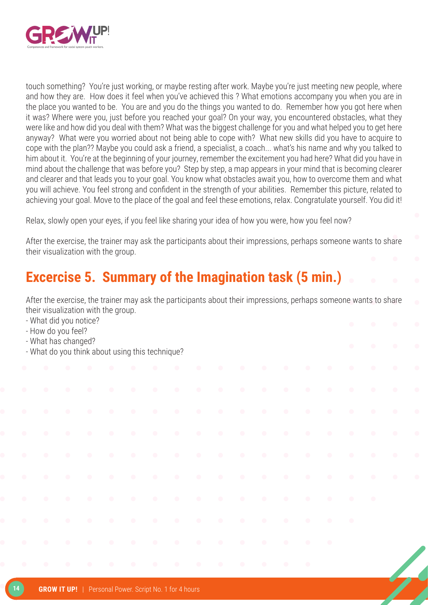

touch something? You're just working, or maybe resting after work. Maybe you're just meeting new people, where and how they are. How does it feel when you've achieved this ? What emotions accompany you when you are in the place you wanted to be. You are and you do the things you wanted to do. Remember how you got here when it was? Where were you, just before you reached your goal? On your way, you encountered obstacles, what they were like and how did you deal with them? What was the biggest challenge for you and what helped you to get here anyway? What were you worried about not being able to cope with? What new skills did you have to acquire to cope with the plan?? Maybe you could ask a friend, a specialist, a coach... what's his name and why you talked to him about it. You're at the beginning of your journey, remember the excitement you had here? What did you have in mind about the challenge that was before you? Step by step, a map appears in your mind that is becoming clearer and clearer and that leads you to your goal. You know what obstacles await you, how to overcome them and what you will achieve. You feel strong and confident in the strength of your abilities. Remember this picture, related to achieving your goal. Move to the place of the goal and feel these emotions, relax. Congratulate yourself. You did it!

Relax, slowly open your eyes, if you feel like sharing your idea of how you were, how you feel now?

After the exercise, the trainer may ask the participants about their impressions, perhaps someone wants to share their visualization with the group.

### **Excercise 5. Summary of the Imagination task (5 min.)**

After the exercise, the trainer may ask the participants about their impressions, perhaps someone wants to share their visualization with the group.

- What did you notice?
- How do you feel?
- What has changed?
- What do you think about using this technique?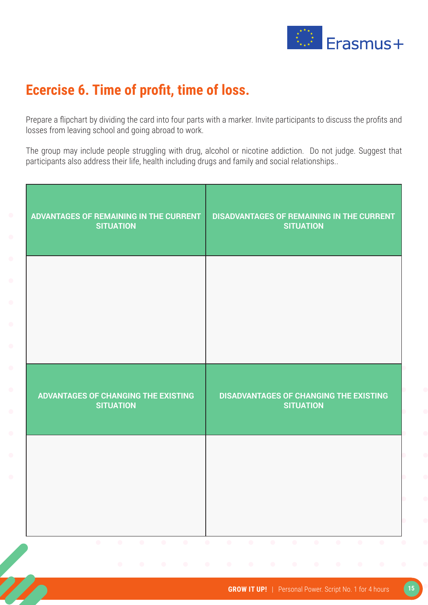

### **Ecercise 6. Time of profit, time of loss.**

Prepare a flipchart by dividing the card into four parts with a marker. Invite participants to discuss the profits and losses from leaving school and going abroad to work.

The group may include people struggling with drug, alcohol or nicotine addiction. Do not judge. Suggest that participants also address their life, health including drugs and family and social relationships..

| ADVANTAGES OF REMAINING IN THE CURRENT<br><b>SITUATION</b> | <b>DISADVANTAGES OF REMAINING IN THE CURRENT</b><br><b>SITUATION</b> |
|------------------------------------------------------------|----------------------------------------------------------------------|
|                                                            |                                                                      |
|                                                            |                                                                      |
| ADVANTAGES OF CHANGING THE EXISTING<br><b>SITUATION</b>    | <b>DISADVANTAGES OF CHANGING THE EXISTING</b><br><b>SITUATION</b>    |
|                                                            |                                                                      |
|                                                            |                                                                      |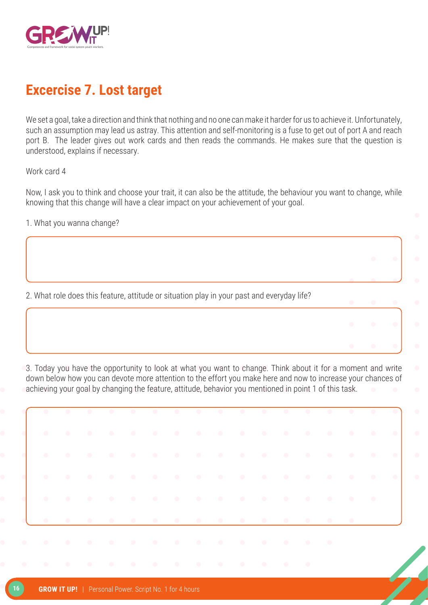

### **Excercise 7. Lost target**

We set a goal, take a direction and think that nothing and no one can make it harder for us to achieve it. Unfortunately, such an assumption may lead us astray. This attention and self-monitoring is a fuse to get out of port A and reach port B. The leader gives out work cards and then reads the commands. He makes sure that the question is understood, explains if necessary.

Work card 4

Now, I ask you to think and choose your trait, it can also be the attitude, the behaviour you want to change, while knowing that this change will have a clear impact on your achievement of your goal.

1. What you wanna change?

2. What role does this feature, attitude or situation play in your past and everyday life?

3. Today you have the opportunity to look at what you want to change. Think about it for a moment and write down below how you can devote more attention to the effort you make here and now to increase your chances of achieving your goal by changing the feature, attitude, behavior you mentioned in point 1 of this task.

| $\mathbb{R}$ , and a set of the set of the set of the set of the set of the set of the set of the set of the set of the set of the set of the set of the set of the set of the set of the set of the set of the set of the set of |  |  |  |  |  |  |  |  |
|-----------------------------------------------------------------------------------------------------------------------------------------------------------------------------------------------------------------------------------|--|--|--|--|--|--|--|--|
| <b>If you can be a set of the second contract of the set of the set of the set of the set of the set of the set of</b>                                                                                                            |  |  |  |  |  |  |  |  |
| $\mathbf{C}$ and the state of the state of the state of the state $\mathbf{C}$ is a state of the state of the state of the state $\mathbf{C}$                                                                                     |  |  |  |  |  |  |  |  |
| de la caractería de la caractería de la caractería de la caractería de la caractería de la caractería de la ca                                                                                                                    |  |  |  |  |  |  |  |  |
| al a concernation and a concernation and a series of the series of the series of the series of the series of t                                                                                                                    |  |  |  |  |  |  |  |  |
| .                                                                                                                                                                                                                                 |  |  |  |  |  |  |  |  |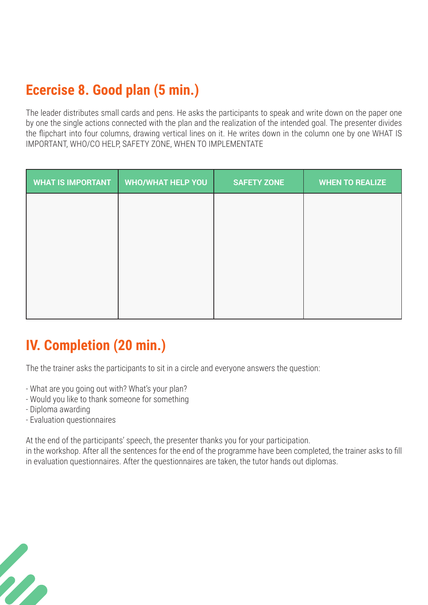### **Ecercise 8. Good plan (5 min.)**

The leader distributes small cards and pens. He asks the participants to speak and write down on the paper one by one the single actions connected with the plan and the realization of the intended goal. The presenter divides the flipchart into four columns, drawing vertical lines on it. He writes down in the column one by one WHAT IS IMPORTANT, WHO/CO HELP, SAFETY ZONE, WHEN TO IMPLEMENTATE

| <b>WHAT IS IMPORTANT</b> | <b>WHO/WHAT HELP YOU</b> | <b>SAFETY ZONE</b> | <b>WHEN TO REALIZE</b> |
|--------------------------|--------------------------|--------------------|------------------------|
|                          |                          |                    |                        |
|                          |                          |                    |                        |
|                          |                          |                    |                        |
|                          |                          |                    |                        |
|                          |                          |                    |                        |
|                          |                          |                    |                        |

### **IV. Completion (20 min.)**

The the trainer asks the participants to sit in a circle and everyone answers the question:

- What are you going out with? What's your plan?
- Would you like to thank someone for something
- Diploma awarding

m

- Evaluation questionnaires

At the end of the participants' speech, the presenter thanks you for your participation.

in the workshop. After all the sentences for the end of the programme have been completed, the trainer asks to fill in evaluation questionnaires. After the questionnaires are taken, the tutor hands out diplomas.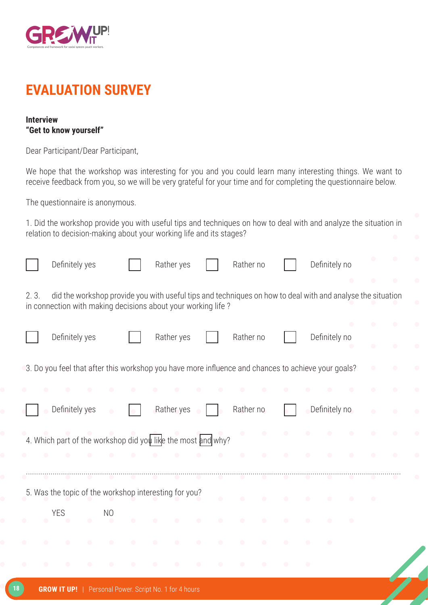

#### **EVALUATION SURVEY**

#### **Interview "Get to know yourself"**

Dear Participant/Dear Participant,

We hope that the workshop was interesting for you and you could learn many interesting things. We want to receive feedback from you, so we will be very grateful for your time and for completing the questionnaire below.

The questionnaire is anonymous.

1. Did the workshop provide you with useful tips and techniques on how to deal with and analyze the situation in relation to decision-making about your working life and its stages?

|      | Definitely yes                                                                                                                                                             |                | Rather yes |           | Rather no |           | Definitely no |  |
|------|----------------------------------------------------------------------------------------------------------------------------------------------------------------------------|----------------|------------|-----------|-----------|-----------|---------------|--|
| 2.3. | did the workshop provide you with useful tips and techniques on how to deal with and analyse the situation<br>in connection with making decisions about your working life? |                |            |           |           |           |               |  |
|      | Definitely yes                                                                                                                                                             |                | Rather yes |           | Rather no |           | Definitely no |  |
|      | 3. Do you feel that after this workshop you have more influence and chances to achieve your goals?                                                                         |                |            |           |           |           |               |  |
|      |                                                                                                                                                                            |                |            |           |           |           |               |  |
|      | Definitely yes                                                                                                                                                             |                | Rather yes |           | Rather no |           | Definitely no |  |
|      | 4. Which part of the workshop did you like the most and why?                                                                                                               |                |            |           |           |           |               |  |
|      |                                                                                                                                                                            |                |            |           | $\bullet$ | $\bullet$ |               |  |
|      |                                                                                                                                                                            |                |            |           |           |           |               |  |
|      | 5. Was the topic of the workshop interesting for you?                                                                                                                      |                |            |           |           |           |               |  |
|      | <b>YES</b>                                                                                                                                                                 | N <sub>O</sub> |            | $\bullet$ | $\bullet$ | $\bullet$ |               |  |
|      |                                                                                                                                                                            |                |            |           |           |           |               |  |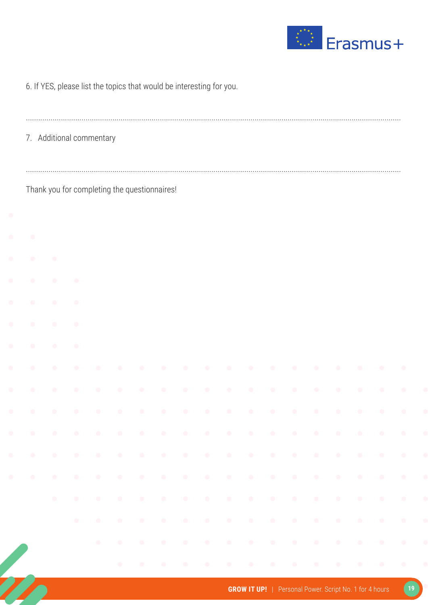

|  |  |  |  | 6. If YES, please list the topics that would be interesting for you. |  |
|--|--|--|--|----------------------------------------------------------------------|--|
|  |  |  |  |                                                                      |  |

7. Additional commentary

Thank you for completing the questionnaires!